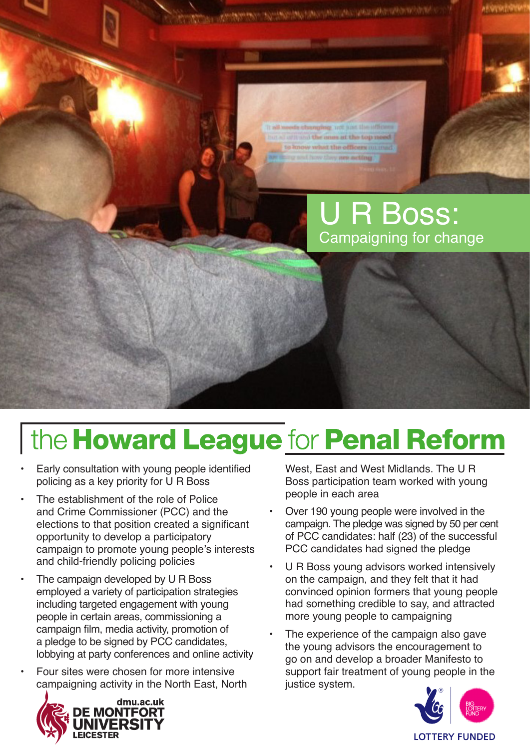of all and the answer the top need to know what the officers on mad or next how they mee acting.

## R Boss: Campaigning for change

# the Howard League for Penal Reform

- Early consultation with young people identified policing as a key priority for U R Boss
- The establishment of the role of Police and Crime Commissioner (PCC) and the elections to that position created a significant opportunity to develop a participatory campaign to promote young people's interests and child-friendly policing policies
- The campaign developed by U R Boss employed a variety of participation strategies including targeted engagement with young people in certain areas, commissioning a campaign film, media activity, promotion of a pledge to be signed by PCC candidates, lobbying at party conferences and online activity
- Four sites were chosen for more intensive campaigning activity in the North East, North



West, East and West Midlands. The U R Boss participation team worked with young people in each area

- Over 190 young people were involved in the campaign. The pledge was signed by 50 per cent of PCC candidates: half (23) of the successful PCC candidates had signed the pledge
- U R Boss young advisors worked intensively on the campaign, and they felt that it had convinced opinion formers that young people had something credible to say, and attracted more young people to campaigning
- The experience of the campaign also gave the young advisors the encouragement to go on and develop a broader Manifesto to support fair treatment of young people in the justice system.

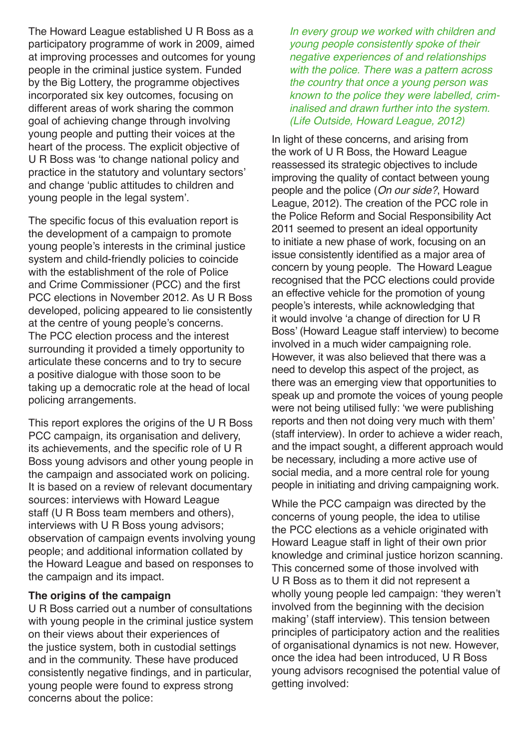The Howard League established U R Boss as a participatory programme of work in 2009, aimed at improving processes and outcomes for young people in the criminal justice system. Funded by the Big Lottery, the programme objectives incorporated six key outcomes, focusing on different areas of work sharing the common goal of achieving change through involving young people and putting their voices at the heart of the process. The explicit objective of U R Boss was 'to change national policy and practice in the statutory and voluntary sectors' and change 'public attitudes to children and young people in the legal system'.

The specific focus of this evaluation report is the development of a campaign to promote young people's interests in the criminal justice system and child-friendly policies to coincide with the establishment of the role of Police and Crime Commissioner (PCC) and the first PCC elections in November 2012. As U R Boss developed, policing appeared to lie consistently at the centre of young people's concerns. The PCC election process and the interest surrounding it provided a timely opportunity to articulate these concerns and to try to secure a positive dialogue with those soon to be taking up a democratic role at the head of local policing arrangements.

This report explores the origins of the U R Boss PCC campaign, its organisation and delivery, its achievements, and the specific role of U R Boss young advisors and other young people in the campaign and associated work on policing. It is based on a review of relevant documentary sources: interviews with Howard League staff (U R Boss team members and others), interviews with U R Boss young advisors; observation of campaign events involving young people; and additional information collated by the Howard League and based on responses to the campaign and its impact.

#### **The origins of the campaign**

U R Boss carried out a number of consultations with young people in the criminal justice system on their views about their experiences of the justice system, both in custodial settings and in the community. These have produced consistently negative findings, and in particular, young people were found to express strong concerns about the police:

*In every group we worked with children and young people consistently spoke of their negative experiences of and relationships with the police. There was a pattern across the country that once a young person was known to the police they were labelled, criminalised and drawn further into the system. [\(Life Outside](http://www.urboss.org.uk/downloads/publications/HL_Life_outside.pdf), Howard League, 2012)*

In light of these concerns, and arising from the work of U R Boss, the Howard League reassessed its strategic objectives to include improving the quality of contact between young people and the police (*[On our side?](http://www.urboss.org.uk/downloads/publications/On_our_Side_FULL_document.pdf)*, Howard League, 2012). The creation of the PCC role in the Police Reform and Social Responsibility Act 2011 seemed to present an ideal opportunity to initiate a new phase of work, focusing on an issue consistently identified as a major area of concern by young people. The Howard League recognised that the PCC elections could provide an effective vehicle for the promotion of young people's interests, while acknowledging that it would involve 'a change of direction for U R Boss' (Howard League staff interview) to become involved in a much wider campaigning role. However, it was also believed that there was a need to develop this aspect of the project, as there was an emerging view that opportunities to speak up and promote the voices of young people were not being utilised fully: 'we were publishing reports and then not doing very much with them' (staff interview). In order to achieve a wider reach, and the impact sought, a different approach would be necessary, including a more active use of social media, and a more central role for young people in initiating and driving campaigning work.

While the PCC campaign was directed by the concerns of young people, the idea to utilise the PCC elections as a vehicle originated with Howard League staff in light of their own prior knowledge and criminal justice horizon scanning. This concerned some of those involved with U R Boss as to them it did not represent a wholly young people led campaign: 'they weren't involved from the beginning with the decision making' (staff interview). This tension between principles of participatory action and the realities of organisational dynamics is not new. However, once the idea had been introduced, U R Boss young advisors recognised the potential value of getting involved: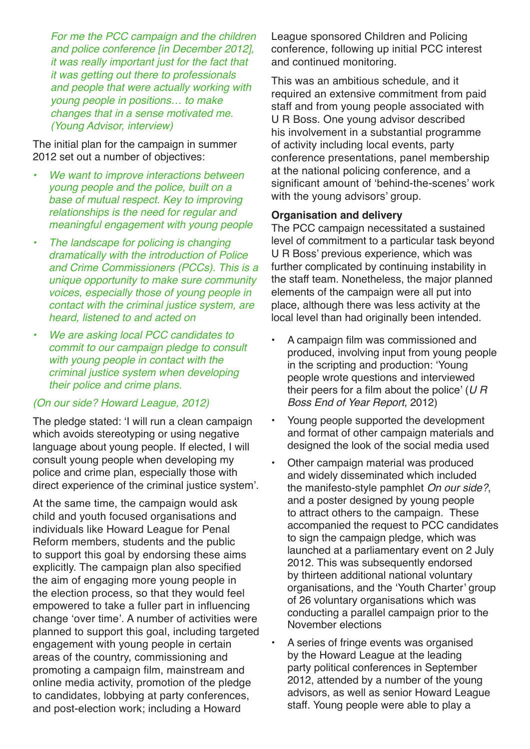*For me the PCC campaign and the children and police conference [in December 2012], it was really important just for the fact that it was getting out there to professionals and people that were actually working with young people in positions… to make changes that in a sense motivated me. (Young Advisor, interview)*

The initial plan for the campaign in summer 2012 set out a number of objectives:

- **We want to improve interactions between** *young people and the police, built on a base of mutual respect. Key to improving relationships is the need for regular and meaningful engagement with young people*
- **The landscape for policing is changing** *dramatically with the introduction of Police and Crime Commissioners (PCCs). This is a unique opportunity to make sure community voices, especially those of young people in contact with the criminal justice system, are heard, listened to and acted on*
- **We are asking local PCC candidates to** *commit to our campaign pledge to consult with young people in contact with the criminal justice system when developing their police and crime plans.*

#### *([On our side?](http://www.urboss.org.uk/downloads/publications/On_our_Side_FULL_document.pdf) Howard League, 2012)*

The pledge stated: 'I will run a clean campaign which avoids stereotyping or using negative language about young people. If elected, I will consult young people when developing my police and crime plan, especially those with direct experience of the criminal justice system'.

At the same time, the campaign would ask child and youth focused organisations and individuals like Howard League for Penal Reform members, students and the public to support this goal by endorsing these aims explicitly. The campaign plan also specified the aim of engaging more young people in the election process, so that they would feel empowered to take a fuller part in influencing change 'over time'. A number of activities were planned to support this goal, including targeted engagement with young people in certain areas of the country, commissioning and promoting a campaign film, mainstream and online media activity, promotion of the pledge to candidates, lobbying at party conferences, and post-election work; including a Howard

League sponsored Children and Policing conference, following up initial PCC interest and continued monitoring.

This was an ambitious schedule, and it required an extensive commitment from paid staff and from young people associated with U R Boss. One young advisor described his involvement in a substantial programme of activity including local events, party conference presentations, panel membership at the national policing conference, and a significant amount of 'behind-the-scenes' work with the young advisors' group.

#### **Organisation and delivery**

The PCC campaign necessitated a sustained level of commitment to a particular task beyond U R Boss' previous experience, which was further complicated by continuing instability in the staff team. Nonetheless, the major planned elements of the campaign were all put into place, although there was less activity at the local level than had originally been intended.

- A campaign film was commissioned and produced, involving input from young people in the scripting and production: 'Young people wrote questions and interviewed their peers for a film about the police' (*U R Boss End of Year Report*, 2012)
- Young people supported the development and format of other campaign materials and designed the look of the social media used
- Other campaign material was produced and widely disseminated which included the manifesto-style pamphlet *On our side?*, and a poster designed by young people to attract others to the campaign. These accompanied the request to PCC candidates to sign the campaign pledge, which was launched at a parliamentary event on 2 July 2012. This was subsequently endorsed by thirteen additional national voluntary organisations, and the 'Youth Charter' group of 26 voluntary organisations which was conducting a parallel campaign prior to the November elections
- A series of fringe events was organised by the Howard League at the leading party political conferences in September 2012, attended by a number of the young advisors, as well as senior Howard League staff. Young people were able to play a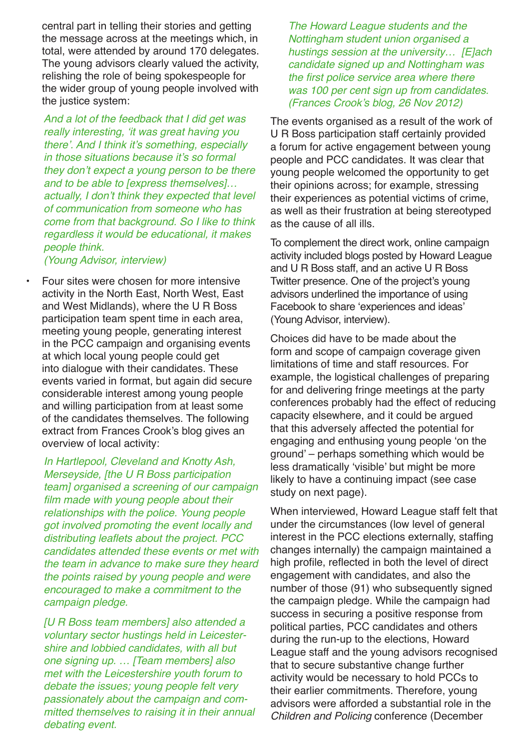central part in telling their stories and getting the message across at the meetings which, in total, were attended by around 170 delegates. The young advisors clearly valued the activity, relishing the role of being spokespeople for the wider group of young people involved with the justice system:

*And a lot of the feedback that I did get was*  really interesting, 'it was great having you there'. And I think it's something, especially in those situations because it's so formal they don't expect a young person to be there *and to be able to [express themselves]…* actually, I don't think they expected that level *of communication from someone who has come from that background. So I like to think regardless it would be educational, it makes people think.*

*(Young Advisor, interview)*

Four sites were chosen for more intensive activity in the North East, North West, East and West Midlands), where the U R Boss participation team spent time in each area, meeting young people, generating interest in the PCC campaign and organising events at which local young people could get into dialogue with their candidates. These events varied in format, but again did secure considerable interest among young people and willing participation from at least some of the candidates themselves. The following extract from Frances Crook's blog gives an overview of local activity:

*In Hartlepool, Cleveland and Knotty Ash, Merseyside, [the U R Boss participation team] organised a screening of our campaign*  film made with young people about their *relationships with the police. Young people got involved promoting the event locally and*  distributing leaflets about the project. PCC *candidates attended these events or met with the team in advance to make sure they heard the points raised by young people and were encouraged to make a commitment to the campaign pledge.*

*[U R Boss team members] also attended a voluntary sector hustings held in Leicestershire and lobbied candidates, with all but one signing up. … [Team members] also met with the Leicestershire youth forum to debate the issues; young people felt very passionately about the campaign and committed themselves to raising it in their annual debating event.*

*The Howard League students and the Nottingham student union organised a hustings session at the university… [E]ach candidate signed up and Nottingham was*  the first police service area where there *was 100 per cent sign up from candidates. (*[Frances](http://www.howardleague.org/francescrookblog/elections-for-police-and-crime-commissioners/) Crook's blog, 26 Nov 2012*)*

The events organised as a result of the work of U R Boss participation staff certainly provided a forum for active engagement between young people and PCC candidates. It was clear that young people welcomed the opportunity to get their opinions across; for example, stressing their experiences as potential victims of crime, as well as their frustration at being stereotyped as the cause of all ills.

To complement the direct work, online campaign activity included blogs posted by Howard League and U R Boss staff, and an active U R Boss Twitter presence. One of the project's young advisors underlined the importance of using Facebook to share 'experiences and ideas' (Young Advisor, interview).

Choices did have to be made about the form and scope of campaign coverage given limitations of time and staff resources. For example, the logistical challenges of preparing for and delivering fringe meetings at the party conferences probably had the effect of reducing capacity elsewhere, and it could be argued that this adversely affected the potential for engaging and enthusing young people 'on the ground' – perhaps something which would be less dramatically 'visible' but might be more likely to have a continuing impact (see case study on next page).

When interviewed, Howard League staff felt that under the circumstances (low level of general interest in the PCC elections externally, staffing changes internally) the campaign maintained a high profile, reflected in both the level of direct engagement with candidates, and also the number of those (91) who subsequently signed the campaign pledge. While the campaign had success in securing a positive response from political parties, PCC candidates and others during the run-up to the elections, Howard League staff and the young advisors recognised that to secure substantive change further activity would be necessary to hold PCCs to their earlier commitments. Therefore, young advisors were afforded a substantial role in the *Children and Policing* conference (December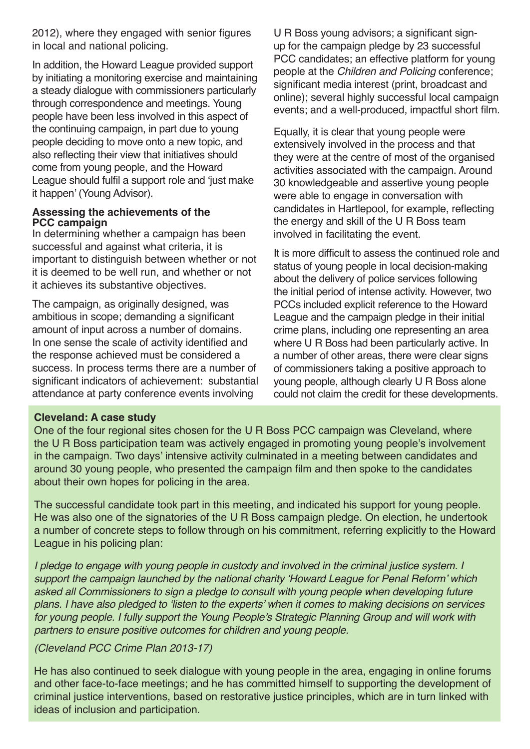2012), where they engaged with senior figures in local and national policing.

In addition, the Howard League provided support by initiating a monitoring exercise and maintaining a steady dialogue with commissioners particularly through correspondence and meetings. Young people have been less involved in this aspect of the continuing campaign, in part due to young people deciding to move onto a new topic, and also reflecting their view that initiatives should come from young people, and the Howard League should fulfil a support role and 'just make it happen' (Young Advisor).

#### **Assessing the achievements of the PCC campaign**

In determining whether a campaign has been successful and against what criteria, it is important to distinguish between whether or not it is deemed to be well run, and whether or not it achieves its substantive objectives.

The campaign, as originally designed, was ambitious in scope; demanding a significant amount of input across a number of domains. In one sense the scale of activity identified and the response achieved must be considered a success. In process terms there are a number of significant indicators of achievement: substantial attendance at party conference events involving

U R Boss young advisors; a significant signup for the campaign pledge by 23 successful PCC candidates; an effective platform for young people at the *Children and Policing* conference; significant media interest (print, broadcast and online); several highly successful local campaign events; and a well-produced, impactful short film.

Equally, it is clear that young people were extensively involved in the process and that they were at the centre of most of the organised activities associated with the campaign. Around 30 knowledgeable and assertive young people were able to engage in conversation with candidates in Hartlepool, for example, reflecting the energy and skill of the U R Boss team involved in facilitating the event.

It is more difficult to assess the continued role and status of young people in local decision-making about the delivery of police services following the initial period of intense activity. However, two PCCs included explicit reference to the Howard League and the campaign pledge in their initial crime plans, including one representing an area where U R Boss had been particularly active. In a number of other areas, there were clear signs of commissioners taking a positive approach to young people, although clearly U R Boss alone could not claim the credit for these developments.

#### **Cleveland: A case study**

One of the four regional sites chosen for the U R Boss PCC campaign was Cleveland, where the U R Boss participation team was actively engaged in promoting young people's involvement in the campaign. Two days' intensive activity culminated in a meeting between candidates and around 30 young people, who presented the campaign film and then spoke to the candidates about their own hopes for policing in the area.

The successful candidate took part in this meeting, and indicated his support for young people. He was also one of the signatories of the U R Boss campaign pledge. On election, he undertook a number of concrete steps to follow through on his commitment, referring explicitly to the Howard League in his policing plan:

*I* pledge to engage with young people in custody and involved in the criminal justice system. I support the campaign launched by the national charity 'Howard League for Penal Reform' which *asked all Commissioners to sign a pledge to consult with young people when developing future*  plans. I have also pledged to 'listen to the experts' when it comes to making decisions on services for young people. I fully support the Young People's Strategic Planning Group and will work with *partners to ensure positive outcomes for children and young people.* 

#### *(Cleveland PCC Crime Plan 2013-17)*

He has also continued to seek dialogue with young people in the area, engaging in online forums and other face-to-face meetings; and he has committed himself to supporting the development of criminal justice interventions, based on restorative justice principles, which are in turn linked with ideas of inclusion and participation.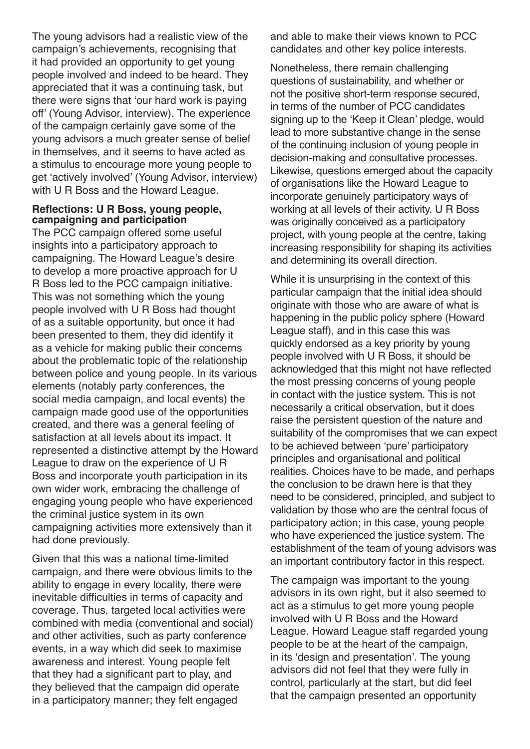The young advisors had a realistic view of the campaign's achievements, recognising that it had provided an opportunity to get young people involved and indeed to be heard. They appreciated that it was a continuing task, but there were signs that 'our hard work is paying off' (Young Advisor, interview). The experience of the campaign certainly gave some of the young advisors a much greater sense of belief in themselves, and it seems to have acted as a stimulus to encourage more young people to get 'actively involved' (Young Advisor, interview) with U R Boss and the Howard League.

#### **Reflections: U R Boss, young people, campaigning and participation**

The PCC campaign offered some useful insights into a participatory approach to campaigning. The Howard League's desire to develop a more proactive approach for U R Boss led to the PCC campaign initiative. This was not something which the young people involved with U R Boss had thought of as a suitable opportunity, but once it had been presented to them, they did identify it as a vehicle for making public their concerns about the problematic topic of the relationship between police and young people. In its various elements (notably party conferences, the social media campaign, and local events) the campaign made good use of the opportunities created, and there was a general feeling of satisfaction at all levels about its impact. It represented a distinctive attempt by the Howard League to draw on the experience of U R Boss and incorporate youth participation in its own wider work, embracing the challenge of engaging young people who have experienced the criminal justice system in its own campaigning activities more extensively than it had done previously.

Given that this was a national time-limited campaign, and there were obvious limits to the ability to engage in every locality, there were inevitable difficulties in terms of capacity and coverage. Thus, targeted local activities were combined with media (conventional and social) and other activities, such as party conference events, in a way which did seek to maximise awareness and interest. Young people felt that they had a significant part to play, and they believed that the campaign did operate in a participatory manner; they felt engaged

and able to make their views known to PCC candidates and other key police interests.

Nonetheless, there remain challenging questions of sustainability, and whether or not the positive short-term response secured, in terms of the number of PCC candidates signing up to the 'Keep it Clean' pledge, would lead to more substantive change in the sense of the continuing inclusion of young people in decision-making and consultative processes. Likewise, questions emerged about the capacity of organisations like the Howard League to incorporate genuinely participatory ways of working at all levels of their activity. U R Boss was originally conceived as a participatory project, with young people at the centre, taking increasing responsibility for shaping its activities and determining its overall direction.

While it is unsurprising in the context of this particular campaign that the initial idea should originate with those who are aware of what is happening in the public policy sphere (Howard League staff), and in this case this was quickly endorsed as a key priority by young people involved with U R Boss, it should be acknowledged that this might not have reflected the most pressing concerns of young people in contact with the justice system. This is not necessarily a critical observation, but it does raise the persistent question of the nature and suitability of the compromises that we can expect to be achieved between 'pure' participatory principles and organisational and political realities. Choices have to be made, and perhaps the conclusion to be drawn here is that they need to be considered, principled, and subject to validation by those who are the central focus of participatory action; in this case, young people who have experienced the justice system. The establishment of the team of young advisors was an important contributory factor in this respect.

The campaign was important to the young advisors in its own right, but it also seemed to act as a stimulus to get more young people involved with U R Boss and the Howard League. Howard League staff regarded young people to be at the heart of the campaign, in its 'design and presentation'. The young advisors did not feel that they were fully in control, particularly at the start, but did feel that the campaign presented an opportunity